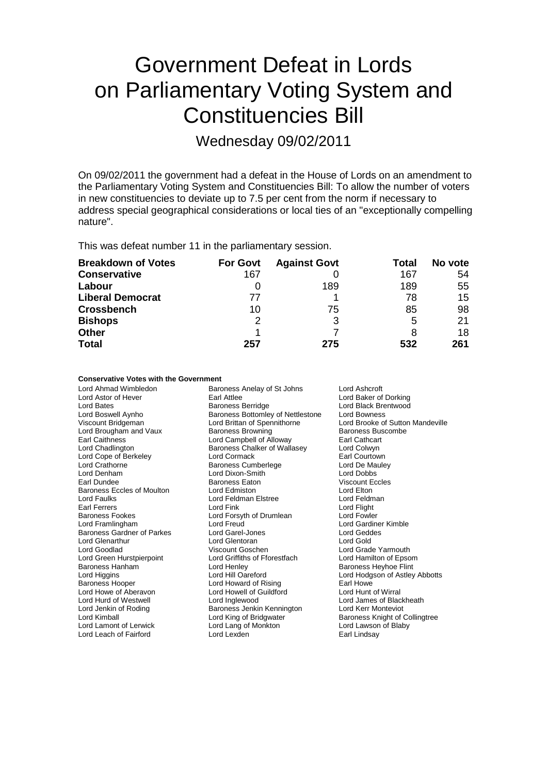# Government Defeat in Lords on Parliamentary Voting System and Constituencies Bill

Wednesday 09/02/2011

On 09/02/2011 the government had a defeat in the House of Lords on an amendment to the Parliamentary Voting System and Constituencies Bill: To allow the number of voters in new constituencies to deviate up to 7.5 per cent from the norm if necessary to address special geographical considerations or local ties of an "exceptionally compelling nature".

This was defeat number 11 in the parliamentary session.

| <b>Breakdown of Votes</b> | <b>For Govt</b> | <b>Against Govt</b> | Total | No vote |
|---------------------------|-----------------|---------------------|-------|---------|
| <b>Conservative</b>       | 167             |                     | 167   | 54      |
| Labour                    |                 | 189                 | 189   | 55      |
| <b>Liberal Democrat</b>   | 77              |                     | 78    | 15      |
| <b>Crossbench</b>         | 10              | 75                  | 85    | 98      |
| <b>Bishops</b>            | 2               | 3                   | 5     | 21      |
| <b>Other</b>              |                 |                     |       | 18      |
| <b>Total</b>              | 257             | 275                 | 532   | 261     |

#### **Conservative Votes with the Government**

| <b>Baroness Berridge</b><br>Lord Black Brentwood<br>Lord Bates<br>Baroness Bottomley of Nettlestone<br><b>Lord Bowness</b><br>Lord Boswell Aynho<br>Lord Brittan of Spennithorne<br>Viscount Bridgeman<br>Lord Brougham and Vaux<br><b>Baroness Browning</b><br><b>Earl Caithness</b><br>Lord Campbell of Alloway<br>Lord Chadlington<br>Baroness Chalker of Wallasey<br>Lord Cope of Berkeley<br>Lord Cormack<br>Lord Crathorne<br><b>Baroness Cumberlege</b><br>Lord Denham<br>Lord Dixon-Smith<br>Earl Dundee<br><b>Baroness Eaton</b><br><b>Baroness Eccles of Moulton</b><br>Lord Edmiston<br><b>Lord Faulks</b><br>Lord Feldman Elstree<br><b>Earl Ferrers</b><br>Lord Fink<br><b>Baroness Fookes</b><br>Lord Forsyth of Drumlean<br>Lord Freud<br>Lord Framlingham<br>Baroness Gardner of Parkes<br>Lord Garel-Jones<br><b>Lord Glenarthur</b><br>Lord Glentoran<br>Viscount Goschen<br>Lord Goodlad<br>Lord Green Hurstpierpoint<br>Lord Griffiths of Fforestfach<br>Baroness Hanham<br>Lord Henley<br>Lord Hill Oareford<br>Lord Higgins<br><b>Baroness Hooper</b><br>Lord Howard of Rising<br>Lord Howe of Aberavon<br>Lord Howell of Guildford<br>Lord Hurd of Westwell<br>Lord Inglewood<br>Baroness Jenkin Kennington<br>Lord Jenkin of Roding<br>Lord Kimball<br>Lord King of Bridgwater | Lord Brooke of Sutton Mandeville<br>Baroness Buscombe<br>Earl Cathcart<br>Lord Colwyn<br>Earl Courtown<br>Lord De Mauley<br>Lord Dobbs<br>Viscount Eccles<br>Lord Elton<br>Lord Feldman<br>Lord Flight<br>Lord Fowler<br>Lord Gardiner Kimble<br>Lord Geddes<br>Lord Gold<br>Lord Grade Yarmouth<br>Lord Hamilton of Epsom<br><b>Baroness Heyhoe Flint</b><br>Lord Hodgson of Astley Abbotts<br>Farl Howe<br>Lord Hunt of Wirral<br>Lord James of Blackheath<br>Lord Kerr Monteviot<br>Baroness Knight of Collingtree |
|--------------------------------------------------------------------------------------------------------------------------------------------------------------------------------------------------------------------------------------------------------------------------------------------------------------------------------------------------------------------------------------------------------------------------------------------------------------------------------------------------------------------------------------------------------------------------------------------------------------------------------------------------------------------------------------------------------------------------------------------------------------------------------------------------------------------------------------------------------------------------------------------------------------------------------------------------------------------------------------------------------------------------------------------------------------------------------------------------------------------------------------------------------------------------------------------------------------------------------------------------------------------------------------------------------|-----------------------------------------------------------------------------------------------------------------------------------------------------------------------------------------------------------------------------------------------------------------------------------------------------------------------------------------------------------------------------------------------------------------------------------------------------------------------------------------------------------------------|
| Lord Lamont of Lerwick<br>Lord Lang of Monkton<br>Lord Lexden<br>Lord Leach of Fairford                                                                                                                                                                                                                                                                                                                                                                                                                                                                                                                                                                                                                                                                                                                                                                                                                                                                                                                                                                                                                                                                                                                                                                                                                | Lord Lawson of Blaby<br>Earl Lindsay                                                                                                                                                                                                                                                                                                                                                                                                                                                                                  |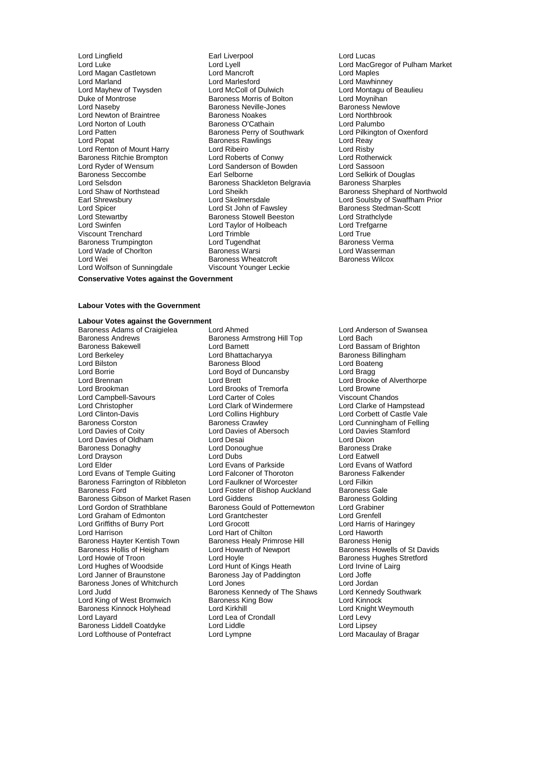Lord Magan Castletown Lord Mancroft Lord Maples Lord Marland<br>Lord Mavhew of Twysden Lord McColl of Dulwich Lord Mayhew of Twysden Lord McColl of Dulwich Lord Montagu of Beaulieu<br>
Duke of Montrose **Lord Montagu of Baroness Morris of Bolton** Lord Movnihan Duke of Montrose **Baroness Morris of Bolton** Morris Cord Moynihan<br>
Lord Nasebv **Baroness Neville-Jones** Baroness Newlove Lord Newton of Braintree **Baroness Noakes** Lord Northbrook Lord Northbrook<br>
Lord Norton of Louth **Baroness O'Cathain** Lord Norton of Louth **Baroness O'Cathain**<br>
Lord Palumbo<br>
Lord Pilkington of Oxenford<br>
Baroness Perry of Southwark<br>
Lord Pilkington of Oxenford Lord Patten **Baroness Perry of Southwark** Lord Pilkington Cord Pilkington of Caroness Rawlings Cord Pilkington of Oxenford Caroness Rawlings Cord Reav Lord Renton of Mount Harry Lord Ribeiro Lord Risby Baroness Ritchie Brompton **Lord Roberts of Conwy** Lord Rotherwick Conducts Conducts Lord Rotherwick<br>
Lord Ryder of Wensum Lord Sanderson of Bowden Lord Sassoon Lord Ryder of Wensum<br>
Baroness Seccombe<br>
Earl Selborne<br>
Earl Selborne Baroness Seccombe Earl Selborne Earl Selborne Lord Selkirk of Douglas<br>
Lord Selsich Baroness Shackleton Belgravia Baroness Sharples<br>
Lord Selsich Baroness Shackleton Belgravia Baroness Sharples Lord Selsdon<br>Lord Shaw of Northstead **Baroness Shackleton Belgravia**<br>Baroness Shackleton Baroness Sharples Earl Shrewsbury Lord Skelmersdale Lord Soulsby of Swaffham Prior Lord Spicer **Lord St John of Fawsley Baroness Stedman-Scott**<br>
Lord Stewartby **Baroness Stowell Beeston** Lord Strathclyde Lord Stewartby **Baroness Stowell Beeston** Lord Strathclyde Lord Strathclyde Lord Taylor of Holbeach Lord Trefgarne Viscount Trenchard **Lord Trimble Lord True**<br>
Lord True Lord True Lord Tugendhat Lord True Baroness Verma Baroness Trumpington **Example 2** Lord Tugendhat **Baroness Vermanness Vermanness Vermanness Vermanness Vermanness Vermanness Vermanness Vermanness Vermanness Warsi** Lord Wade of Chorlton Baroness Warsi Lord Wasserman Lord Wei **Baroness Wheatcroft** Lord Wolfson of Sunningdale Viscount Younger Leckie

Lord Lingfield Earl Liverpool Lord Lucas Lord Naseby Baroness Neville-Jones Baroness Newlove **Baroness Rawlings Community Reading Baroness Rawlings Community Reading Community Reading Community Reading Re**<br>
Lord Risby Lord Taylor of Holbeach<br>Lord Trimble

Lord Lyell<br>
Lord Mancroft Lord Manles<br>
Lord Mancroft Lord Manles Lord Shaw of Northstead Lord Sheikh Baroness Shephard of Northwold<br>
Lord Skelmersdale Lord Sculsby of Swaffham Prior

### **Conservative Votes against the Government**

#### **Labour Votes with the Government**

#### **Labour Votes against the Government**

Baroness Andrews and Baroness Armstrong Hill Top Baroness Armstrong Hill Top Baroness Armstrong Hill Top Lord Berkeley **Lord Bhattacharyya** Baroness Billingham<br>
Lord Bilston **Baroness Blood** Baroness Blood Lord Boateng Lord Bilston **Baroness Blood**<br>
Lord Borrie **Baroness Blood**<br>
Lord Boyd of Du Lord Borrie<br>
Lord Brennan<br>
Lord Brennan<br>
Lord Brett Lord Brookman Lord Brooks of Tremorfa Lord Browne Lord Campbell-Savours Lord Carter of Coles<br>
Lord Christopher Chandos Lord Clark of Windermere Lord Clinton-Davis Lord Collins Highbury Lord Corbett of Castle Vale Baroness Corston **Baroness Crawley** Corston Baroness Crawley **Lord Cunningham of Felling**<br>
Lord Davies of Coity **Lord Caroling Corporation** Lord Davies Stamford Lord Davies of Oldham Lord Desai Lord Dixon<br>
Baroness Donaghy Lord Donoughue Cord Dixon<br>
Lord Donoughue Cornel Baroness Drake Baroness Donaghy **Lord Donoughue Baroness Drake Baroness Drake**<br> **Baroness Donaghy** Lord Dubs<br>
Lord Drayson **Baroness Drawell** Lord Drayson (Carry School Lord Dubs ) Lord Dubs (Lord Eatwell<br>Lord Elder (Lord Evans of Parkside (Lord Evans of Watford Lord Evans of Temple Guiting Lord Falconer of Thoroton<br>Baroness Farrington of Ribbleton Lord Faulkner of Worcester Baroness Farrington of Ribbleton Lord Faulkner of Worcester Lord Filkin<br>Baroness Ford Cale Lord Foster of Bishop Auckland Baroness Gale Baroness Gibson of Market Rasen Lord Giddens **Baroness Golding Cording Cording Cording Cording Cording Cording Cording Cording Cording Cording Cording Cording Cording Cording Cording Cording Cording Cording Cording Cording** Lord Graham of Edmonton Lord Grantchester Lord Grenfell Lord Griffiths of Burry Port Lord Grocott Lord Harris of Lord Harris of Lord Harris of Lord Harris of Lord Harris of Lord Harris of Lord Harris of Lord Harris of Lord Harris of Lord Harris of Lord Harris of Lord Harris of Lord Harrison **Lord Hart of Chilton**<br> **Baroness Hayter Kentish Town** Baroness Healy Prin Baroness Hayter Kentish Town Baroness Healy Primrose Hill Baroness Henig<br>Baroness Hollis of Heigham Baroness Howel Lord Howarth of Newport Baroness Howel Baroness Hollis of Heigham Lord Howarth of Newport Baroness Howells of St Davids<br>
Lord Howie of Troon Lord Hoyle Cord Hoyle Baroness Hughes Stretford Lord Hughes of Woodside Lord Janner of Braunstone **Baroness Jay of Paddington** Lord Joffe Lord Joffe **Baroness Jones of Whitchurch Lord Jones** Baroness Jones of Whitchurch Lord Jones<br>
Lord Judd Baroness Kennedy of The Shaws Lord Kennedy Southwark Lord King of West Bromwich Baroness King Bow<br>
Baroness Kinnock Holyhead Lord Kirkhill<br>
Lord Knight Weymouth Baroness Kinnock Holyhead Lord Kirkhill Lord Knight Lord Knight Lord Knight Lord Levy<br>Lord Lavard Lord Levymouth Weyler Corology Lord Levy Lord Lofthouse of Pontefract Lord Lympne

Baroness Adams of Craigielea Lord Ahmed<br>
Baroness Andrews
Baroness Amstrong Hill Top
Lord Bach<br>
Lord Bach Lord Barnett **Lord Bassam of Brighton**<br>
Lord Bhattacharvva **Baroness Billingham** Lord Boyd of Duncansby<br>
Lord Brennan Lord Brooke of Alverthorpe<br>
Lord Brooke of Alverthorpe Lord Davies of Abersoch Lord Davies Coity Lord Davies Lord Davies Stammer Lord Davies Stammer Stamford Dixon Lord Evans of Parkside<br>
Lord Ealconer of Thoroton<br>
Baroness Falkender Lord Foster of Bishop Auckland Baroness Gale<br>
Lord Giddens Baroness Golding Baroness Gould of Potternewton Lord Hoyle<br>
Lord Hunt of Kings Heath<br>
Lord Irvine of Lairg<br>
Lord Irvine of Lairg Baroness Kennedy of The Shaws Lord Kennedy<br>Baroness King Bow Lord Kinnock Lord Lea of Crondall Lord Levy<br>
Lord Liddle Lord Lipsey Baroness Liddell Coatdyke Lord Liddle Lord Liddle Lord Lipsey<br>
Lord Lofthouse of Pontefract Lord Lympne Lord Lord Macaulay of Bragar

Lord Clarke of Hampstead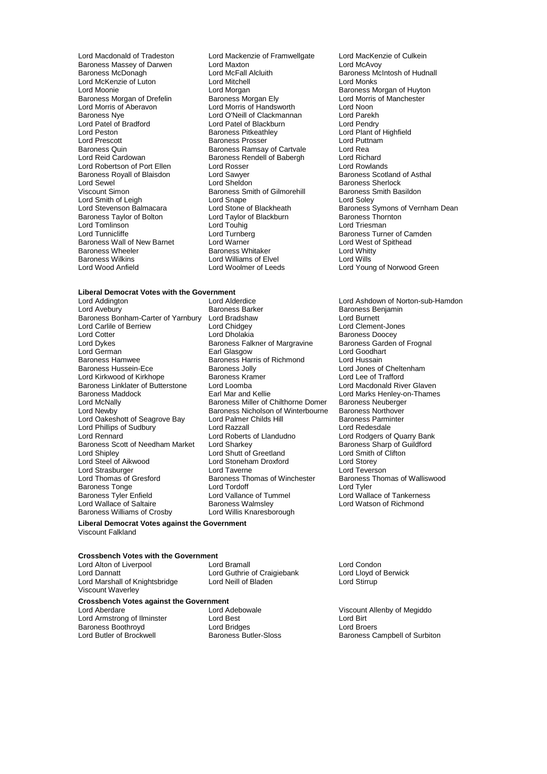Baroness Massey of Darwen Lord Maxton<br>Baroness McDonagh Lord McFall Alcluith Lord Patel of Bradford Lord Patel of Blackburn<br>
Lord Peston Cord Pendry Baroness Pitkeathley Baroness Royall of Blaisdon Lord Sawyer<br>Lord Sewel Lord Sheldon<br>Lord Sheldon Lord Smith of Leigh Lord Snape<br>
Lord Stevenson Balmacara<br>
Lord Stone of Blackheath Lord Tomlinson<br>Lord Tunnicliffe Baroness Wilkins **Lord Williams of Elvel**<br>
Lord Wood Anfield
Lord Woolmer of Leeds

Lord Macdonald of Tradeston Lord Mackenzie of Framwellgate Lord MacKenzie of Culkein<br>
Baroness Massey of Darwen Lord Maxton Lord Maxton Lord McAvoy Lord McFall Alcluith Baroness McIntosh of Hudnall<br>
Lord Mitchell<br>
Lord Monks Lord McKenzie of Luton Lord Mitchell Lord Monks Lord Morgan<br>
Baroness Morgan Elv<br>
Lord Morris of Manchester Baroness Morgan of Drefelin Baroness Morgan Ely Lord Morris Lord Morris Cord Morris Cord Morris Cord Morris Co<br>
Lord Morris of Aberavon Lord Morris of Handsworth Lord Noon Lord Morris of Handsworth Baroness Nye Lord O'Neill of Clackmannan Lord Parekh Lord Peston Baroness Pitkeathley Lord Plant of Highfield<br>Lord Prescott Baroness Prosser Lord Puttnam Lord Prescott **Baroness Prosser** Lord Putton Lord Putton Baroness Prosser Lord Putton Lord Realty Baroness Ramsay of Cartyale Lord Realty Realty Baroness Ramsay of Cartyale Baroness Quin **Baroness Ramsay of Cartvale** Cartol Rea<br>
Lord Reid Cardowan **Baroness Rendell of Babergh** Lord Richard Baroness Rendell of Babergh Lord Richard<br>Lord Rosser Lord Rowlands Lord Robertson of Port Ellen Lord Rosser Lord Rosser Lord Rowlands<br>
Baroness Royall of Blaisdon Lord Sawyer Lord Baroness Scotland of Asthal Lord Sewel Lord Sheldon Baroness Sherlock **Viscours Smith of Gilmorehill Baroness Service School Baroness Service School Baroness Service School Baroness School Baroness School Baroness School Baroness School Baroness School Baroness School Baroness School Barones** Baroness Taylor of Bolton Lord Taylor of Blackburn Baroness Thornton Lord Turnberg Turner Communications Baroness Turner of Camden<br>
Lord Warner Communications Lord West of Spithead Baroness Wall of New Barnet Lord Warner Theory of Lord West of Lord West of Spithead Mest of Spithead Mest of S<br>Baroness Wheeler Theory of Spithead Baroness Whitaker Theory Cord Whitty er Baroness Wheeler Baroness Whitaker Lord Whitty<br>Baroness Wilkins Cord Williams of Elvel Lord Wills

## **Liberal Democrat Votes with the Government**<br>Lord Addington Lord Alderdice

Lord Carlile of Berriew<br>Lord Cotter Lord Dykes Baroness Falkner of Margravine<br>Baroness Falkner of Margravine<br>Baroness Frognal Baroness Frognal of Frognal Baroness Frognal Baroness Frognal States Baroness Hamwee **Baroness Harris of Richmond Baroness Harris of Richmond Baroness Hussein-Ece Baroness Jolly** Baroness Linklater of Butterstone Lord Loomba<br>Baroness Maddock Baronald River Glaven Harver Glaven Lord Phillips of Sudbury **Lord Razzall**<br>
Lord Rennard **Lord Roberts of Llandudno** Lord Strasburger<br>
Lord Strasburger Lord Taverne<br>
Lord Thomas of Gresford Baroness Thomas of Winchester Baroness Williams of Crosby

Lord Addington Lord Alderdice Lord Ashdown of Norton-sub-Hamdon Baroness Bonham-Carter of Yarnbury Lord Bradshaw Lord Burnett Lord Cotter **Lord Dholakia**<br>
Lord Dykes **Container Baroness Falkner of Margravine** Baroness Garden of Frognal Lord German **Earl Glasgow** Earl Glasgow Lord Goodhart<br>
Baroness Hamwee Baroness Harris of Richmond Lord Hussain Baroness Jolly **Communist Constructs** Lord Jones of Cheltenham<br>
Baroness Kramer<br>
Lord Lee of Trafford Lord Kirkwood of Kirkhope **Baroness Kramer** Baroness Kramer Lord Lee of Trafford<br>Baroness Linklater of Butterstone Lord Loomba **Lord Lord Macdonald River Glaven** Baroness Maddock **Earl Mar and Kellie** Lord Marks Henley-on-Thames<br>
Lord McNally **Communist Communist Communist Communist Communist Communist Communist Communist Communist Communist** Lord McNally **Baroness Miller of Chilthorne Domer** Baroness Neuberger<br>
Baroness Nicholson of Winterbourne Baroness Northover Baroness Nicholson of Winterbourne Baroness Northover<br>Lord Palmer Childs Hill Baroness Parminter Lord Oakeshott of Seagrove Bay Lord Palmer Childs Hill Baroness Parminter Childs Area<br>Lord Phillips of Sudbury Lord Razzall Lord Razzall Lord Redesdale Baroness Scott of Needham Market Lord Sharkey **Baroness Sharp of Guilden**<br>Lord Shutt of Greetland Lord Smith of Clifton Lord Sharkey<br>
Lord Sharkey<br>
Lord Shutt of Greetland Baroness States of Shutt of Greetland Lord Smith of Clifton Clifton Control of Storey<br>
Lord Store Lord Storey<br>
Lord Storey<br>
Lord Storey Lord Stoneham Droxford<br>
Lord Taverne 
Lord Teverson Lord Thomas of Gresford Baroness Thomas of Winchester Baroness Thomas of Walliswood Baroness Tonge **Lord Lord Tordoff** Cord Tordoff Lord Tyler<br>
Baroness Tyler Enfield **Lord Lord Lord Vallance of Tummel** Cord Walla Baroness Tyler Enfield **Lord Vallance of Tummel** Lord Wallace of Tankerness<br>
Lord Wallace of Saltaire **Lord Wallace of Tankerness Walmsley** Lord Watson of Richmond Baroness Walmsley **Lord Watson of Richmond**<br>
Lord Willis Knaresborough

**Liberal Democrat Votes against the Government** Viscount Falkland

## **Crossbench Votes with the Government**

Lord Alton of Liverpool **Lord Bramall** Lord Bramall **Lord Condon**<br>
Lord Condon Lord Guthrie of Craigiebank Lord Llovd of Berwick Lord Marshall of Knightsbridge Viscount Waverley

Lord Guthrie of Craigiebank Lord Lloyd of Lord Stirrup<br>Lord Neill of Bladen Lord Stirrup

# **Crossbench Votes against the Government**

Lord Armstrong of Ilminster Lord Best Lord Birt Baroness Boothroyd<br>
Lord Butler of Brockwell<br>
Lord Butler of Brockwell<br>
Cord Butler-Sloss

Lord Stone of Blackheath Baroness Symons of Vernham Dean<br>
Lord Taylor of Blackburn Baroness Thornton Lord Young of Norwood Green

> Baroness Benjamin<br>Lord Burnett Lord Rodgers of Quarry Bank<br>Baroness Sharp of Guildford

Viscount Allenby of Megiddo<br>Lord Birt Baroness Campbell of Surbiton